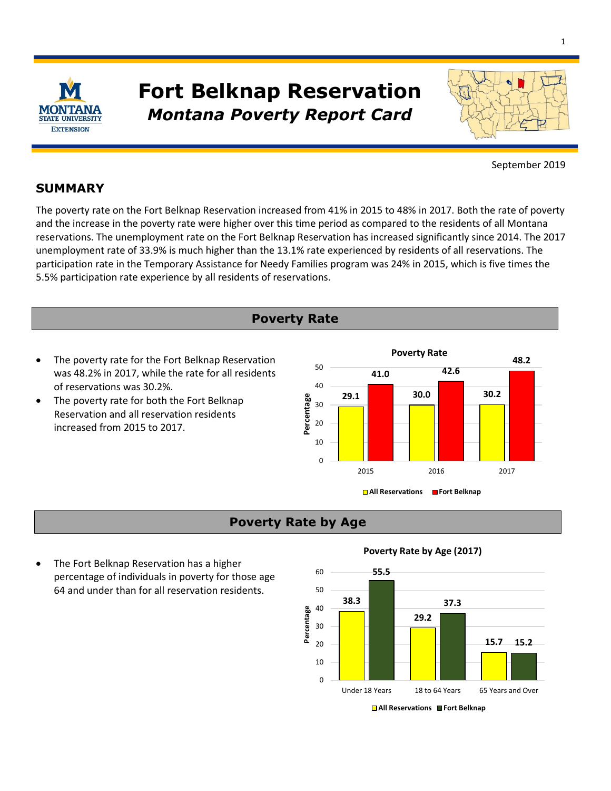

# *Montana Poverty Report Card*  **Fort Belknap Reservation**



September 2019

### **SUMMARY**

 and the increase in the poverty rate were higher over this time period as compared to the residents of all Montana participation rate in the Temporary Assistance for Needy Families program was 24% in 2015, which is five times the The poverty rate on the Fort Belknap Reservation increased from 41% in 2015 to 48% in 2017. Both the rate of poverty reservations. The unemployment rate on the Fort Belknap Reservation has increased significantly since 2014. The 2017 unemployment rate of 33.9% is much higher than the 13.1% rate experienced by residents of all reservations. The 5.5% participation rate experience by all residents of reservations.

- **Poverty Rate**
- was 48.2% in 2017, while the rate for all residents **50 41.0 42.6** of reservations was 30.2%.
- **29.1**  The poverty rate for both the Fort Belknap Reservation and all reservation residents increased from 2015 to 2017.



# **Poverty Rate by Age**

• The Fort Belknap Reservation has a higher percentage of individuals in poverty for those age  $60 - 55.5$ 64 and under than for all reservation residents. 50

#### **Poverty Rate by Age (2017)**



**<sup>■</sup>All Reservations ■ Fort Belknap**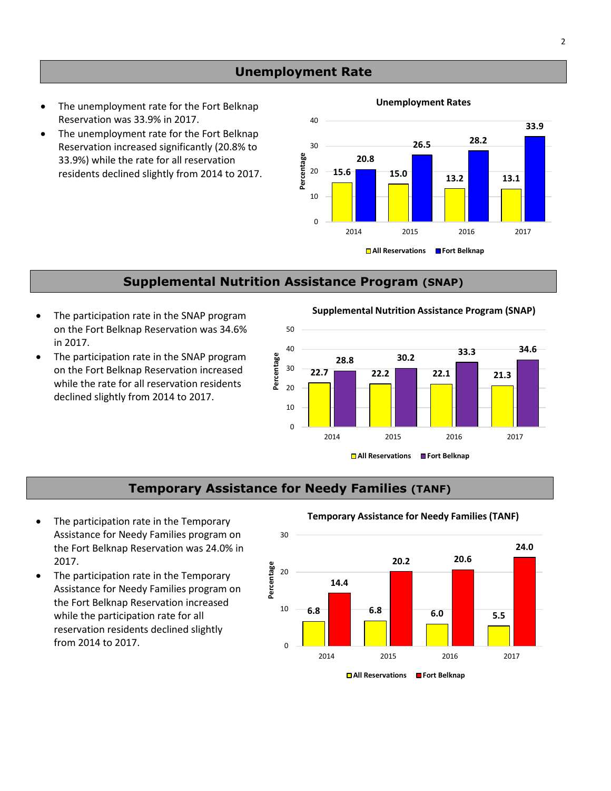#### **Unemployment Rate**

- **Unemployment Rates**  The unemployment rate for the Fort Belknap
- 33.9%) while the rate for all reservation residents declined slightly from 2014 to 2017. Reservation increased significantly (20.8% to

# Reservation was 33.9% in 2017.<br>
The unemployment rate for the Fort Belknap<br>
Reservation increased significantly (20.8% to  $\frac{30}{26.5}$  26.5 28.2 **20.8**  10 0 2014 2015 2016 2017 **15.6** 15.0 13.2 13.1 **□ All Reservations** ■ Fort Belknap 30 **Percentage** 20

### **Supplemental Nutrition Assistance Program (SNAP)**

- on the Fort Belknap Reservation was 34.6% 50 in 2017.
- while the rate for all reservation residents  $\frac{1}{20}$  20 declined slightly from 2014 to 2017.

**The participation rate in the SNAP program <b>by Supplemental Nutrition Assistance Program (SNAP)** 



#### **Temporary Assistance for Needy Families (TANF)**

- Assistance for Needy Families program on 30 **The participation rate in the Temporary** *in Emporary Assistance for Needy Families (TANF)* 2017.
- Assistance for Needy Families program on • The participation rate in the Temporary while the participation rate for all reservation residents declined slightly from 2014 to 2017.  $\qquad \qquad \qquad$  0

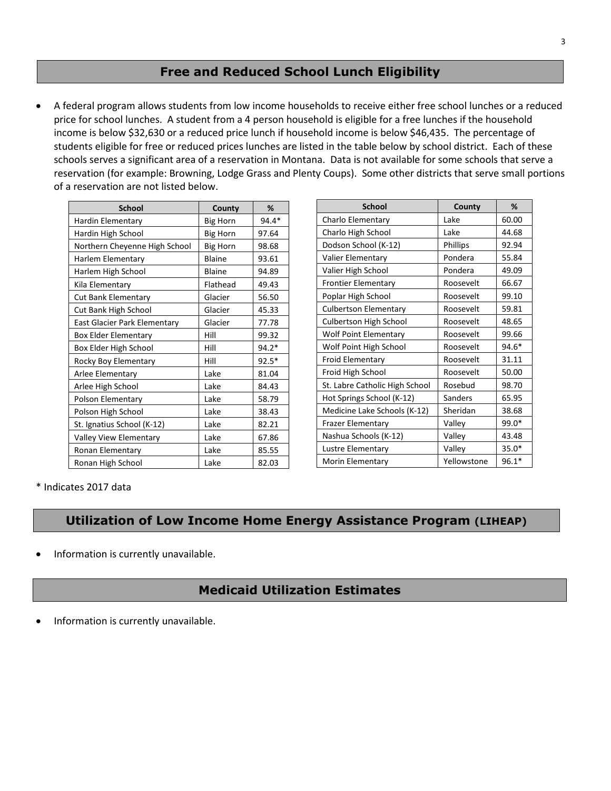#### **Free and Reduced School Lunch Eligibility**

 • A federal program allows students from low income households to receive either free school lunches or a reduced income is below \$32,630 or a reduced price lunch if household income is below \$46,435. The percentage of students eligible for free or reduced prices lunches are listed in the table below by school district. Each of these schools serves a significant area of a reservation in Montana. Data is not available for some schools that serve a reservation (for example: Browning, Lodge Grass and Plenty Coups). Some other districts that serve small portions price for school lunches. A student from a 4 person household is eligible for a free lunches if the household of a reservation are not listed below.

| <b>School</b>                 | County          | %       |
|-------------------------------|-----------------|---------|
| Hardin Elementary             | <b>Big Horn</b> | 94.4*   |
| Hardin High School            | <b>Big Horn</b> | 97.64   |
| Northern Cheyenne High School | <b>Big Horn</b> | 98.68   |
| Harlem Elementary             | <b>Blaine</b>   | 93.61   |
| Harlem High School            | <b>Blaine</b>   | 94.89   |
| Kila Elementary               | Flathead        | 49.43   |
| Cut Bank Elementary           | Glacier         | 56.50   |
| Cut Bank High School          | Glacier         | 45.33   |
| East Glacier Park Elementary  | Glacier         | 77.78   |
| <b>Box Elder Elementary</b>   | Hill            | 99.32   |
| Box Elder High School         | Hill            | $94.2*$ |
| Rocky Boy Elementary          | Hill            | $92.5*$ |
| Arlee Elementary              | Lake            | 81.04   |
| Arlee High School             | Lake            | 84.43   |
| Polson Elementary             | Lake            | 58.79   |
| Polson High School            | Lake            | 38.43   |
| St. Ignatius School (K-12)    | Lake            | 82.21   |
| Valley View Elementary        | Lake            | 67.86   |
| Ronan Elementary              | Lake            | 85.55   |
| Ronan High School             | Lake            | 82.03   |

| <b>School</b>                  | County      | %       |
|--------------------------------|-------------|---------|
| Charlo Elementary              | Lake        | 60.00   |
| Charlo High School             | Lake        | 44.68   |
| Dodson School (K-12)           | Phillips    | 92.94   |
| <b>Valier Elementary</b>       | Pondera     | 55.84   |
| Valier High School             | Pondera     | 49.09   |
| <b>Frontier Elementary</b>     | Roosevelt   | 66.67   |
| Poplar High School             | Roosevelt   | 99.10   |
| <b>Culbertson Elementary</b>   | Roosevelt   | 59.81   |
| Culbertson High School         | Roosevelt   | 48.65   |
| <b>Wolf Point Elementary</b>   | Roosevelt   | 99.66   |
| Wolf Point High School         | Roosevelt   | 94.6*   |
| <b>Froid Elementary</b>        | Roosevelt   | 31.11   |
| Froid High School              | Roosevelt   | 50.00   |
| St. Labre Catholic High School | Rosebud     | 98.70   |
| Hot Springs School (K-12)      | Sanders     | 65.95   |
| Medicine Lake Schools (K-12)   | Sheridan    | 38.68   |
| <b>Frazer Elementary</b>       | Valley      | 99.0*   |
| Nashua Schools (K-12)          | Valley      | 43.48   |
| Lustre Elementary              | Valley      | $35.0*$ |
| <b>Morin Elementary</b>        | Yellowstone | $96.1*$ |

\* Indicates 2017 data

### **Utilization of Low Income Home Energy Assistance Program (LIHEAP)**

• Information is currently unavailable.

#### **Medicaid Utilization Estimates**

• Information is currently unavailable.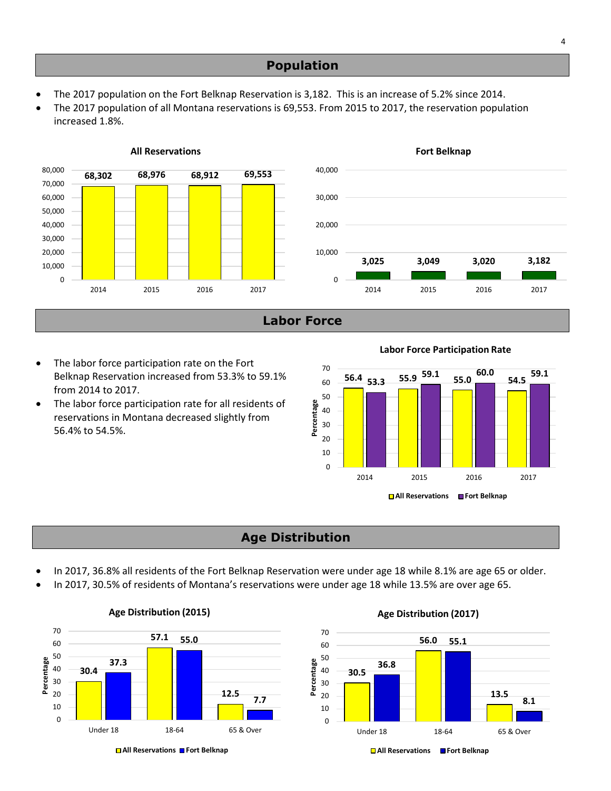- The 2017 population on the Fort Belknap Reservation is 3,182. This is an increase of 5.2% since 2014.
- • The 2017 population of all Montana reservations is 69,553. From 2015 to 2017, the reservation population increased 1.8%.



**Labor Force** 

- The labor force participation rate on the Fort <br>Belknap Reservation increased from 53.3% to 59.1% **56.4 53.3 55.9 <sup>59.1</sup> 55.0 54.5 59.1** from 2014 to 2017.
- The labor force participation rate for all residents of reservations in Montana decreased slightly from 56.4% to 54.5%.

**Labor Force Participation Rate** 



# **Age Distribution**

- In 2017, 36.8% all residents of the Fort Belknap Reservation were under age 18 while 8.1% are age 65 or older.
- In 2017, 30.5% of residents of Montana's reservations were under age 18 while 13.5% are over age 65.



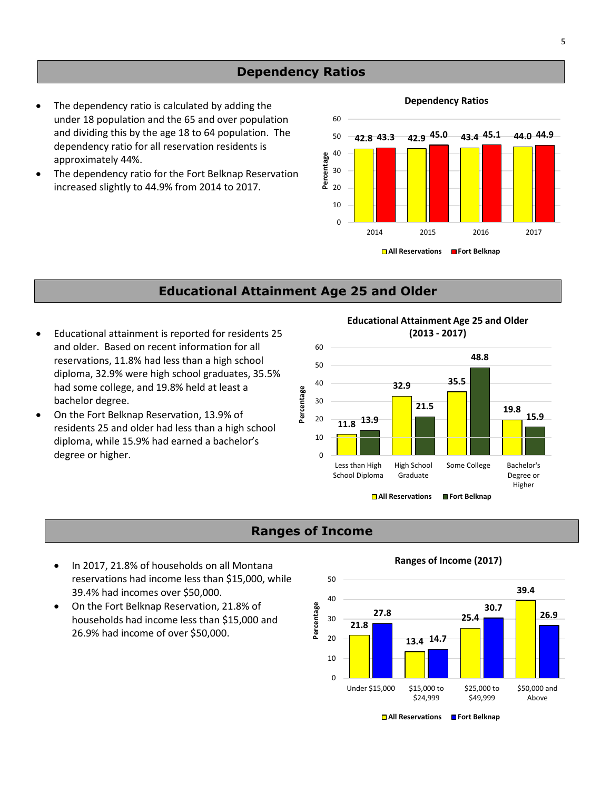#### **Dependency Ratios**

- under 18 population and the 65 and over population 60 dependency ratio for all reservation residents is approximately 44%.
- The dependency ratio for the Fort Belknap Reservation increased slightly to 44.9% from 2014 to 2017.  $\frac{2}{\epsilon}$  20

**Dependency Ratios** • The dependency ratio is calculated by adding the and dividing this by the age 18 to 64 population. The  $\begin{array}{ccc} 50 & -42.8 & 43.3 & 42.9 \end{array}$  45.0  $\begin{array}{ccc} 43.4 & 45.1 & -44.0 & 44.9 \end{array}$ 2014 2015 2016 2017 40 30 **Percentage**  10 0 **All Reservations Fort Belknap** 

#### **Educational Attainment Age 25 and Older**

- Educational attainment is reported for residents 25 **(2013 - 2017)**  and older. Based on recent information for all 60 reservations, 11.8% had less than a high school  $_{50}$ had some college, and 19.8% held at least a<br>bachelor degree.<br>On the Fort Belknap Reservation, 13.9% of **Percentage Accele** 20 diploma, 32.9% were high school graduates, 35.5% bachelor degree.
- • On the Fort Belknap Reservation, 13.9% of diploma, while 15.9% had earned a bachelor's  $10^{10}$ residents 25 and older had less than a high school degree or higher. 0

**Educational Attainment Age 25 and Older** 



#### **Ranges of Income**

- **Ranges of Income (2017)**  In 2017, 21.8% of households on all Montana reservations had income less than \$15,000, while 50
- 26.9% had income of over \$50,000.  $\frac{20}{100}$ • On the Fort Belknap Reservation, 21.8% of households had income less than \$15,000 and